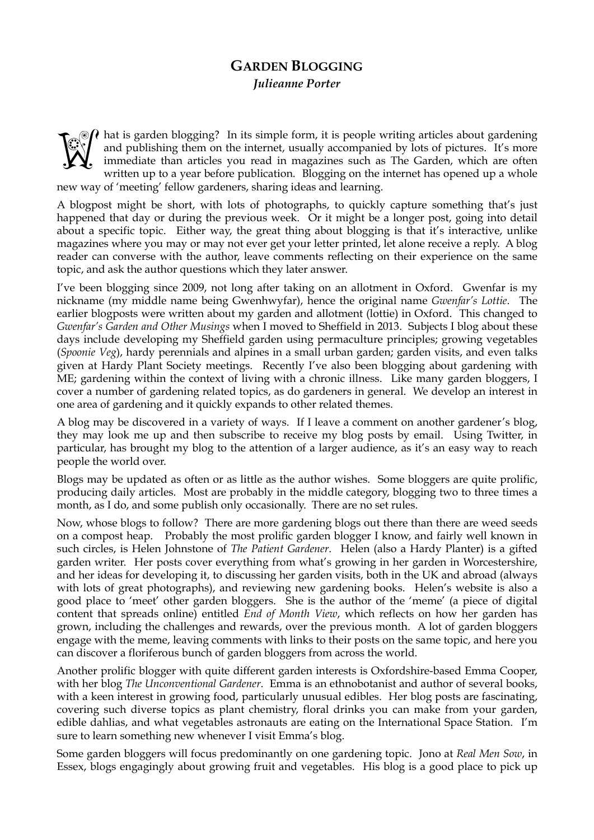## **GARDEN BLOGGING**  *Julieanne Porter*

hat is garden blogging? In its simple form, it is people writing articles about gardening and publishing them on the internet, usually accompanied by lots of pictures. It's more immediate than articles you read in magazine and publishing them on the internet, usually accompanied by lots of pictures. It's more immediate than articles you read in magazines such as The Garden, which are often written up to a year before publication. Blogging on the internet has opened up a whole new way of 'meeting' fellow gardeners, sharing ideas and learning.

A blogpost might be short, with lots of photographs, to quickly capture something that's just happened that day or during the previous week. Or it might be a longer post, going into detail about a specific topic. Either way, the great thing about blogging is that it's interactive, unlike magazines where you may or may not ever get your letter printed, let alone receive a reply. A blog reader can converse with the author, leave comments reflecting on their experience on the same topic, and ask the author questions which they later answer.

I've been blogging since 2009, not long after taking on an allotment in Oxford. Gwenfar is my nickname (my middle name being Gwenhwyfar), hence the original name *Gwenfar's Lottie*. The earlier blogposts were written about my garden and allotment (lottie) in Oxford. This changed to *Gwenfar's Garden and Other Musings* when I moved to Sheffield in 2013. Subjects I blog about these days include developing my Sheffield garden using permaculture principles; growing vegetables (*Spoonie Veg*), hardy perennials and alpines in a small urban garden; garden visits, and even talks given at Hardy Plant Society meetings. Recently I've also been blogging about gardening with ME; gardening within the context of living with a chronic illness. Like many garden bloggers, I cover a number of gardening related topics, as do gardeners in general. We develop an interest in one area of gardening and it quickly expands to other related themes.

A blog may be discovered in a variety of ways. If I leave a comment on another gardener's blog, they may look me up and then subscribe to receive my blog posts by email. Using Twitter, in particular, has brought my blog to the attention of a larger audience, as it's an easy way to reach people the world over.

Blogs may be updated as often or as little as the author wishes. Some bloggers are quite prolific, producing daily articles. Most are probably in the middle category, blogging two to three times a month, as I do, and some publish only occasionally. There are no set rules.

Now, whose blogs to follow? There are more gardening blogs out there than there are weed seeds on a compost heap. Probably the most prolific garden blogger I know, and fairly well known in such circles, is Helen Johnstone of *The Patient Gardener*. Helen (also a Hardy Planter) is a gifted garden writer. Her posts cover everything from what's growing in her garden in Worcestershire, and her ideas for developing it, to discussing her garden visits, both in the UK and abroad (always with lots of great photographs), and reviewing new gardening books. Helen's website is also a good place to 'meet' other garden bloggers. She is the author of the 'meme' (a piece of digital content that spreads online) entitled *End of Month View*, which reflects on how her garden has grown, including the challenges and rewards, over the previous month. A lot of garden bloggers engage with the meme, leaving comments with links to their posts on the same topic, and here you can discover a floriferous bunch of garden bloggers from across the world.

Another prolific blogger with quite different garden interests is Oxfordshire-based Emma Cooper, with her blog *The Unconventional Gardener*. Emma is an ethnobotanist and author of several books, with a keen interest in growing food, particularly unusual edibles. Her blog posts are fascinating, covering such diverse topics as plant chemistry, floral drinks you can make from your garden, edible dahlias, and what vegetables astronauts are eating on the International Space Station. I'm sure to learn something new whenever I visit Emma's blog.

Some garden bloggers will focus predominantly on one gardening topic. Jono at *Real Men Sow*, in Essex, blogs engagingly about growing fruit and vegetables. His blog is a good place to pick up